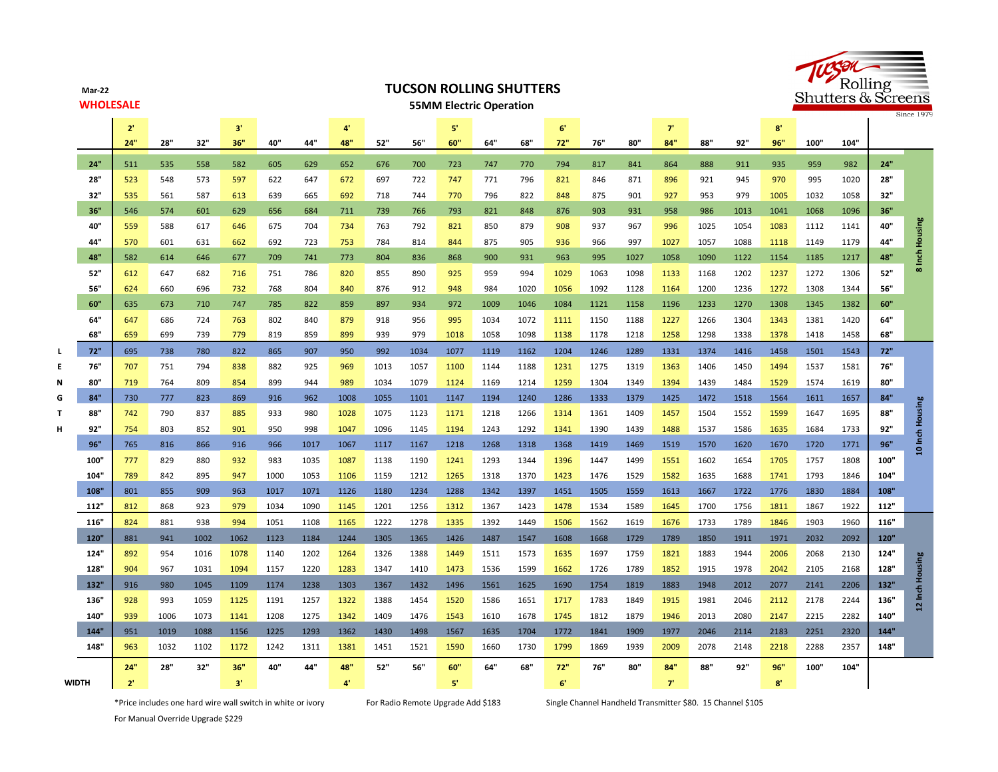**Mar-22 WHOLESALE**

## **TUCSON ROLLING SHUTTERS**





|              |      | $2^{\circ}$ |      |      | 3'   |      |      | 4                      |      |      | 5'          |      |      | 6    |      |      | 7    |      |      | $8^{\circ}$ |      |      |      |                 |
|--------------|------|-------------|------|------|------|------|------|------------------------|------|------|-------------|------|------|------|------|------|------|------|------|-------------|------|------|------|-----------------|
|              |      | 24"         | 28"  | 32"  | 36"  | 40"  | 44"  | 48"                    | 52"  | 56"  | 60"         | 64"  | 68"  | 72"  | 76"  | 80"  | 84"  | 88"  | 92"  | 96"         | 100" | 104" |      |                 |
|              | 24"  | 511         | 535  | 558  | 582  | 605  | 629  | 652                    | 676  | 700  | 723         | 747  | 770  | 794  | 817  | 841  | 864  | 888  | 911  | 935         | 959  | 982  | 24"  |                 |
|              | 28"  | 523         | 548  | 573  | 597  | 622  | 647  | 672                    | 697  | 722  | 747         | 771  | 796  | 821  | 846  | 871  | 896  | 921  | 945  | 970         | 995  | 1020 | 28"  |                 |
|              | 32"  | 535         | 561  | 587  | 613  | 639  | 665  | 692                    | 718  | 744  | 770         | 796  | 822  | 848  | 875  | 901  | 927  | 953  | 979  | 1005        | 1032 | 1058 | 32"  |                 |
|              | 36"  | 546         | 574  | 601  | 629  | 656  | 684  | 711                    | 739  | 766  | 793         | 821  | 848  | 876  | 903  | 931  | 958  | 986  | 1013 | 1041        | 1068 | 1096 | 36"  |                 |
|              | 40"  | 559         | 588  | 617  | 646  | 675  | 704  | 734                    | 763  | 792  | 821         | 850  | 879  | 908  | 937  | 967  | 996  | 1025 | 1054 | 1083        | 1112 | 1141 | 40"  | 8 Inch Housing  |
|              | 44"  | 570         | 601  | 631  | 662  | 692  | 723  | 753                    | 784  | 814  | 844         | 875  | 905  | 936  | 966  | 997  | 1027 | 1057 | 1088 | 1118        | 1149 | 1179 | 44"  |                 |
|              | 48"  | 582         | 614  | 646  | 677  | 709  | 741  | 773                    | 804  | 836  | 868         | 900  | 931  | 963  | 995  | 1027 | 1058 | 1090 | 1122 | 1154        | 1185 | 1217 | 48"  |                 |
|              | 52"  | 612         | 647  | 682  | 716  | 751  | 786  | 820                    | 855  | 890  | 925         | 959  | 994  | 1029 | 1063 | 1098 | 1133 | 1168 | 1202 | 1237        | 1272 | 1306 | 52"  |                 |
|              | 56"  | 624         | 660  | 696  | 732  | 768  | 804  | 840                    | 876  | 912  | 948         | 984  | 1020 | 1056 | 1092 | 1128 | 1164 | 1200 | 1236 | 1272        | 1308 | 1344 | 56"  |                 |
|              | 60"  | 635         | 673  | 710  | 747  | 785  | 822  | 859                    | 897  | 934  | 972         | 1009 | 1046 | 1084 | 1121 | 1158 | 1196 | 1233 | 1270 | 1308        | 1345 | 1382 | 60"  |                 |
|              | 64"  | 647         | 686  | 724  | 763  | 802  | 840  | 879                    | 918  | 956  | 995         | 1034 | 1072 | 1111 | 1150 | 1188 | 1227 | 1266 | 1304 | 1343        | 1381 | 1420 | 64"  |                 |
|              | 68"  | 659         | 699  | 739  | 779  | 819  | 859  | 899                    | 939  | 979  | 1018        | 1058 | 1098 | 1138 | 1178 | 1218 | 1258 | 1298 | 1338 | 1378        | 1418 | 1458 | 68"  |                 |
|              | 72"  | 695         | 738  | 780  | 822  | 865  | 907  | 950                    | 992  | 1034 | 1077        | 1119 | 1162 | 1204 | 1246 | 1289 | 1331 | 1374 | 1416 | 1458        | 1501 | 1543 | 72"  |                 |
|              | 76"  | 707         | 751  | 794  | 838  | 882  | 925  | 969                    | 1013 | 1057 | 1100        | 1144 | 1188 | 1231 | 1275 | 1319 | 1363 | 1406 | 1450 | 1494        | 1537 | 1581 | 76"  |                 |
|              | 80"  | 719         | 764  | 809  | 854  | 899  | 944  | 989                    | 1034 | 1079 | 1124        | 1169 | 1214 | 1259 | 1304 | 1349 | 1394 | 1439 | 1484 | 1529        | 1574 | 1619 | 80"  |                 |
| G            | 84"  | 730         | 777  | 823  | 869  | 916  | 962  | 1008                   | 1055 | 1101 | 1147        | 1194 | 1240 | 1286 | 1333 | 1379 | 1425 | 1472 | 1518 | 1564        | 1611 | 1657 | 84"  |                 |
|              | 88"  | 742         | 790  | 837  | 885  | 933  | 980  | 1028                   | 1075 | 1123 | 1171        | 1218 | 1266 | 1314 | 1361 | 1409 | 1457 | 1504 | 1552 | 1599        | 1647 | 1695 | 88"  |                 |
|              | 92"  | 754         | 803  | 852  | 901  | 950  | 998  | 1047                   | 1096 | 1145 | 1194        | 1243 | 1292 | 1341 | 1390 | 1439 | 1488 | 1537 | 1586 | 1635        | 1684 | 1733 | 92"  | 10 Inch Housing |
|              | 96"  | 765         | 816  | 866  | 916  | 966  | 1017 | 1067                   | 1117 | 1167 | 1218        | 1268 | 1318 | 1368 | 1419 | 1469 | 1519 | 1570 | 1620 | 1670        | 1720 | 1771 | 96"  |                 |
|              | 100" | 777         | 829  | 880  | 932  | 983  | 1035 | 1087                   | 1138 | 1190 | 1241        | 1293 | 1344 | 1396 | 1447 | 1499 | 1551 | 1602 | 1654 | 1705        | 1757 | 1808 | 100" |                 |
|              | 104" | 789         | 842  | 895  | 947  | 1000 | 1053 | 1106                   | 1159 | 1212 | 1265        | 1318 | 1370 | 1423 | 1476 | 1529 | 1582 | 1635 | 1688 | 1741        | 1793 | 1846 | 104" |                 |
|              | 108" | 801         | 855  | 909  | 963  | 1017 | 1071 | 1126                   | 1180 | 1234 | 1288        | 1342 | 1397 | 1451 | 1505 | 1559 | 1613 | 1667 | 1722 | 1776        | 1830 | 1884 | 108" |                 |
|              | 112" | 812         | 868  | 923  | 979  | 1034 | 1090 | 1145                   | 1201 | 1256 | 1312        | 1367 | 1423 | 1478 | 1534 | 1589 | 1645 | 1700 | 1756 | 1811        | 1867 | 1922 | 112" |                 |
|              | 116" | 824         | 881  | 938  | 994  | 1051 | 1108 | 1165                   | 1222 | 1278 | 1335        | 1392 | 1449 | 1506 | 1562 | 1619 | 1676 | 1733 | 1789 | 1846        | 1903 | 1960 | 116" |                 |
|              | 120  | 881         | 941  | 1002 | 1062 | 1123 | 1184 | 1244                   | 1305 | 1365 | 1426        | 1487 | 1547 | 1608 | 1668 | 1729 | 1789 | 1850 | 1911 | 1971        | 2032 | 2092 | 120" |                 |
|              | 124" | 892         | 954  | 1016 | 1078 | 1140 | 1202 | 1264                   | 1326 | 1388 | 1449        | 1511 | 1573 | 1635 | 1697 | 1759 | 1821 | 1883 | 1944 | 2006        | 2068 | 2130 | 124" |                 |
|              | 128" | 904         | 967  | 1031 | 1094 | 1157 | 1220 | 1283                   | 1347 | 1410 | 1473        | 1536 | 1599 | 1662 | 1726 | 1789 | 1852 | 1915 | 1978 | 2042        | 2105 | 2168 | 128" |                 |
|              | 132" | 916         | 980  | 1045 | 1109 | 1174 | 1238 | 1303                   | 1367 | 1432 | 1496        | 1561 | 1625 | 1690 | 1754 | 1819 | 1883 | 1948 | 2012 | 2077        | 2141 | 2206 | 132" | 12 Inch Housing |
|              | 136" | 928         | 993  | 1059 | 1125 | 1191 | 1257 | 1322                   | 1388 | 1454 | 1520        | 1586 | 1651 | 1717 | 1783 | 1849 | 1915 | 1981 | 2046 | 2112        | 2178 | 2244 | 136" |                 |
|              | 140  | 939         | 1006 | 1073 | 1141 | 1208 | 1275 | 1342                   | 1409 | 1476 | 1543        | 1610 | 1678 | 1745 | 1812 | 1879 | 1946 | 2013 | 2080 | 2147        | 2215 | 2282 | 140" |                 |
|              | 144" | 951         | 1019 | 1088 | 1156 | 1225 | 1293 | 1362                   | 1430 | 1498 | 1567        | 1635 | 1704 | 1772 | 1841 | 1909 | 1977 | 2046 | 2114 | 2183        | 2251 | 2320 | 144" |                 |
|              | 148" | 963         | 1032 | 1102 | 1172 | 1242 | 1311 | 1381                   | 1451 | 1521 | 1590        | 1660 | 1730 | 1799 | 1869 | 1939 | 2009 | 2078 | 2148 | 2218        | 2288 | 2357 | 148" |                 |
|              |      | 24"         | 28"  | 32"  | 36"  | 40"  | 44"  | 48"                    | 52"  | 56"  | 60"         | 64"  | 68"  | 72"  | 76"  | 80"  | 84"  | 88"  | 92"  | 96"         | 100  | 104" |      |                 |
| <b>WIDTH</b> |      | $2^{\circ}$ |      |      | 3'   |      |      | $\mathbf{A}^{\dagger}$ |      |      | $5^{\circ}$ |      |      | 6'   |      |      | 7'   |      |      | 8'          |      |      |      |                 |

\*Price includes one hard wire wall switch in white or ivory For Radio Remote Upgrade Add \$183 Single Channel Handheld Transmitter \$80. 15 Channel \$105

For Manual Override Upgrade \$229